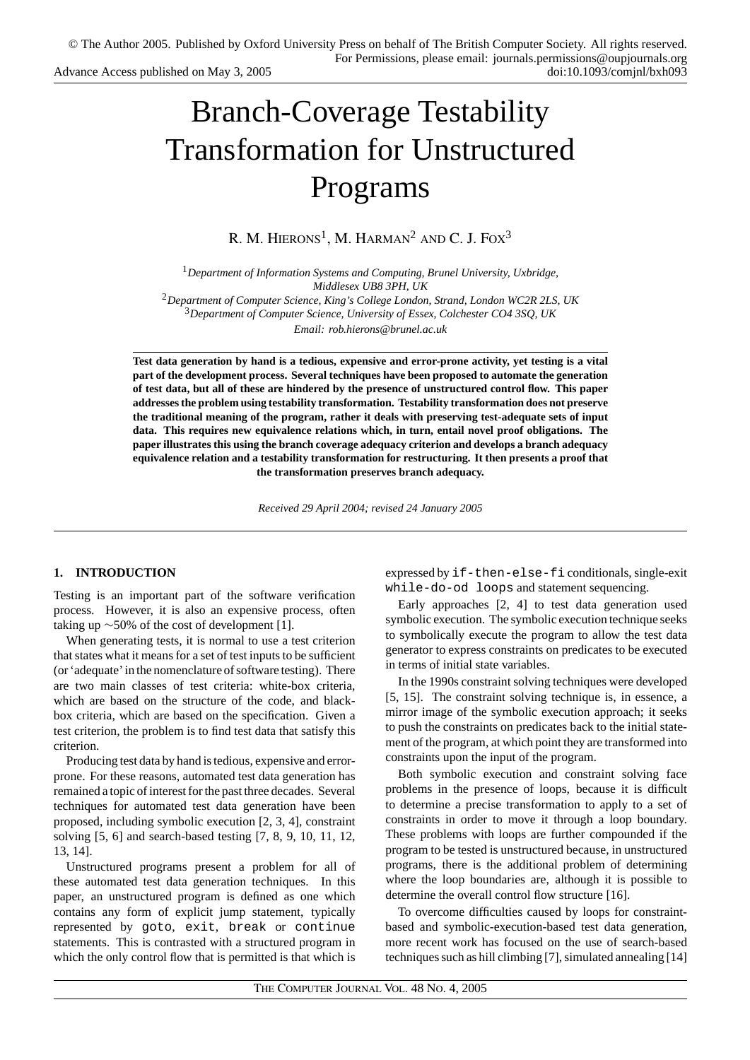# Branch-Coverage Testability Transformation for Unstructured Programs

R. M. HIERONS<sup>1</sup>, M. HARMAN<sup>2</sup> AND C. J. FOX<sup>3</sup>

<sup>1</sup>*Department of Information Systems and Computing, Brunel University, Uxbridge, Middlesex UB8 3PH, UK*

<sup>2</sup>*Department of Computer Science, King's College London, Strand, London WC2R 2LS, UK* <sup>3</sup>*Department of Computer Science, University of Essex, Colchester CO4 3SQ, UK*

*Email: rob.hierons@brunel.ac.uk*

**Test data generation by hand is a tedious, expensive and error-prone activity, yet testing is a vital part of the development process. Several techniques have been proposed to automate the generation of test data, but all of these are hindered by the presence of unstructured control flow. This paper addresses the problem using testability transformation. Testability transformation does not preserve the traditional meaning of the program, rather it deals with preserving test-adequate sets of input data. This requires new equivalence relations which, in turn, entail novel proof obligations. The paper illustrates this using the branch coverage adequacy criterion and develops a branch adequacy equivalence relation and a testability transformation for restructuring. It then presents a proof that the transformation preserves branch adequacy.**

*Received 29 April 2004; revised 24 January 2005*

# **1. INTRODUCTION**

Testing is an important part of the software verification process. However, it is also an expensive process, often taking up  $\sim$  50% of the cost of development [1].

When generating tests, it is normal to use a test criterion that states what it means for a set of test inputs to be sufficient (or 'adequate' in the nomenclature of software testing). There are two main classes of test criteria: white-box criteria, which are based on the structure of the code, and blackbox criteria, which are based on the specification. Given a test criterion, the problem is to find test data that satisfy this criterion.

Producing test data by hand is tedious, expensive and errorprone. For these reasons, automated test data generation has remained a topic of interest for the past three decades. Several techniques for automated test data generation have been proposed, including symbolic execution [2, 3, 4], constraint solving [5, 6] and search-based testing [7, 8, 9, 10, 11, 12, 13, 14].

Unstructured programs present a problem for all of these automated test data generation techniques. In this paper, an unstructured program is defined as one which contains any form of explicit jump statement, typically represented by goto, exit, break or continue statements. This is contrasted with a structured program in which the only control flow that is permitted is that which is

expressed by if-then-else-fi conditionals, single-exit while-do-od loops and statement sequencing.

Early approaches [2, 4] to test data generation used symbolic execution. The symbolic execution technique seeks to symbolically execute the program to allow the test data generator to express constraints on predicates to be executed in terms of initial state variables.

In the 1990s constraint solving techniques were developed [5, 15]. The constraint solving technique is, in essence, a mirror image of the symbolic execution approach; it seeks to push the constraints on predicates back to the initial statement of the program, at which point they are transformed into constraints upon the input of the program.

Both symbolic execution and constraint solving face problems in the presence of loops, because it is difficult to determine a precise transformation to apply to a set of constraints in order to move it through a loop boundary. These problems with loops are further compounded if the program to be tested is unstructured because, in unstructured programs, there is the additional problem of determining where the loop boundaries are, although it is possible to determine the overall control flow structure [16].

To overcome difficulties caused by loops for constraintbased and symbolic-execution-based test data generation, more recent work has focused on the use of search-based techniques such as hill climbing [7], simulated annealing [14]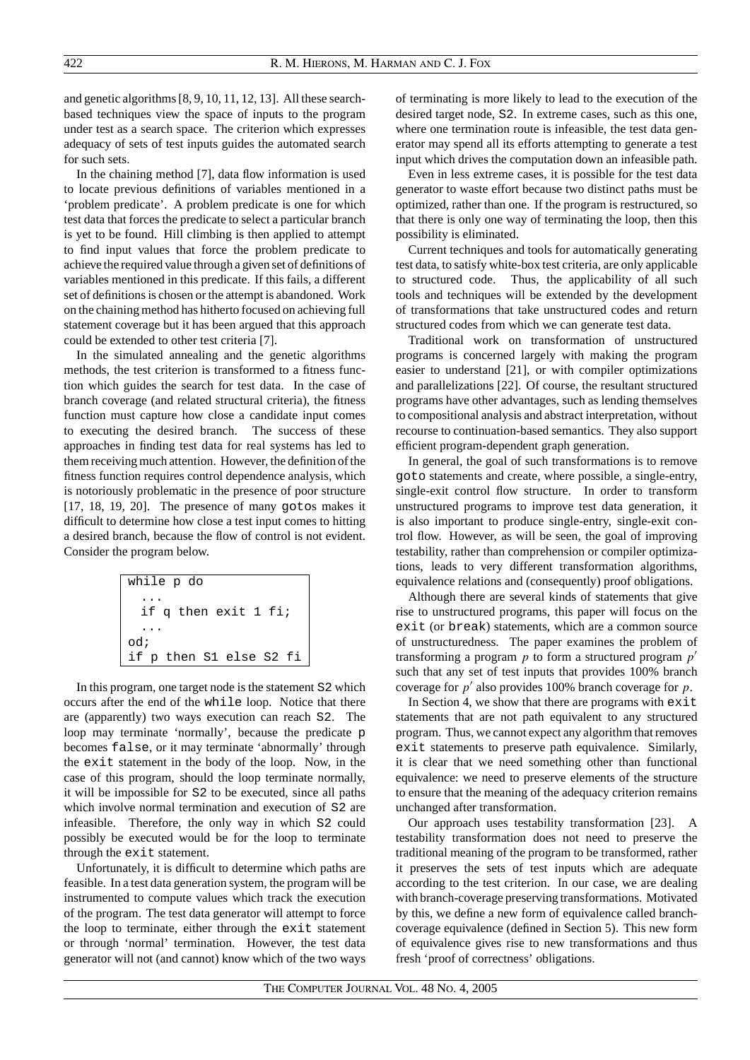and genetic algorithms [8, 9, 10, 11, 12, 13]. All these searchbased techniques view the space of inputs to the program under test as a search space. The criterion which expresses adequacy of sets of test inputs guides the automated search for such sets.

In the chaining method [7], data flow information is used to locate previous definitions of variables mentioned in a 'problem predicate'. A problem predicate is one for which test data that forces the predicate to select a particular branch is yet to be found. Hill climbing is then applied to attempt to find input values that force the problem predicate to achieve the required value through a given set of definitions of variables mentioned in this predicate. If this fails, a different set of definitions is chosen or the attempt is abandoned. Work on the chaining method has hitherto focused on achieving full statement coverage but it has been argued that this approach could be extended to other test criteria [7].

In the simulated annealing and the genetic algorithms methods, the test criterion is transformed to a fitness function which guides the search for test data. In the case of branch coverage (and related structural criteria), the fitness function must capture how close a candidate input comes to executing the desired branch. The success of these approaches in finding test data for real systems has led to them receiving much attention. However, the definition of the fitness function requires control dependence analysis, which is notoriously problematic in the presence of poor structure [17, 18, 19, 20]. The presence of many gotos makes it difficult to determine how close a test input comes to hitting a desired branch, because the flow of control is not evident. Consider the program below.

```
while p do
  ...
 if q then exit 1 fi;
  ...
od;
if p then S1 else S2 fi
```
In this program, one target node is the statement S2 which occurs after the end of the while loop. Notice that there are (apparently) two ways execution can reach S2. The loop may terminate 'normally', because the predicate p becomes false, or it may terminate 'abnormally' through the exit statement in the body of the loop. Now, in the case of this program, should the loop terminate normally, it will be impossible for S2 to be executed, since all paths which involve normal termination and execution of S2 are infeasible. Therefore, the only way in which S2 could possibly be executed would be for the loop to terminate through the exit statement.

Unfortunately, it is difficult to determine which paths are feasible. In a test data generation system, the program will be instrumented to compute values which track the execution of the program. The test data generator will attempt to force the loop to terminate, either through the exit statement or through 'normal' termination. However, the test data generator will not (and cannot) know which of the two ways of terminating is more likely to lead to the execution of the desired target node, S2. In extreme cases, such as this one, where one termination route is infeasible, the test data generator may spend all its efforts attempting to generate a test input which drives the computation down an infeasible path.

Even in less extreme cases, it is possible for the test data generator to waste effort because two distinct paths must be optimized, rather than one. If the program is restructured, so that there is only one way of terminating the loop, then this possibility is eliminated.

Current techniques and tools for automatically generating test data, to satisfy white-box test criteria, are only applicable to structured code. Thus, the applicability of all such tools and techniques will be extended by the development of transformations that take unstructured codes and return structured codes from which we can generate test data.

Traditional work on transformation of unstructured programs is concerned largely with making the program easier to understand [21], or with compiler optimizations and parallelizations [22]. Of course, the resultant structured programs have other advantages, such as lending themselves to compositional analysis and abstract interpretation, without recourse to continuation-based semantics. They also support efficient program-dependent graph generation.

In general, the goal of such transformations is to remove goto statements and create, where possible, a single-entry, single-exit control flow structure. In order to transform unstructured programs to improve test data generation, it is also important to produce single-entry, single-exit control flow. However, as will be seen, the goal of improving testability, rather than comprehension or compiler optimizations, leads to very different transformation algorithms, equivalence relations and (consequently) proof obligations.

Although there are several kinds of statements that give rise to unstructured programs, this paper will focus on the exit (or break) statements, which are a common source of unstructuredness. The paper examines the problem of transforming a program *p* to form a structured program *p* such that any set of test inputs that provides 100% branch coverage for *p*- also provides 100% branch coverage for *p*.

In Section 4, we show that there are programs with  $exist$ statements that are not path equivalent to any structured program. Thus, we cannot expect any algorithm that removes exit statements to preserve path equivalence. Similarly, it is clear that we need something other than functional equivalence: we need to preserve elements of the structure to ensure that the meaning of the adequacy criterion remains unchanged after transformation.

Our approach uses testability transformation [23]. A testability transformation does not need to preserve the traditional meaning of the program to be transformed, rather it preserves the sets of test inputs which are adequate according to the test criterion. In our case, we are dealing with branch-coverage preserving transformations. Motivated by this, we define a new form of equivalence called branchcoverage equivalence (defined in Section 5). This new form of equivalence gives rise to new transformations and thus fresh 'proof of correctness' obligations.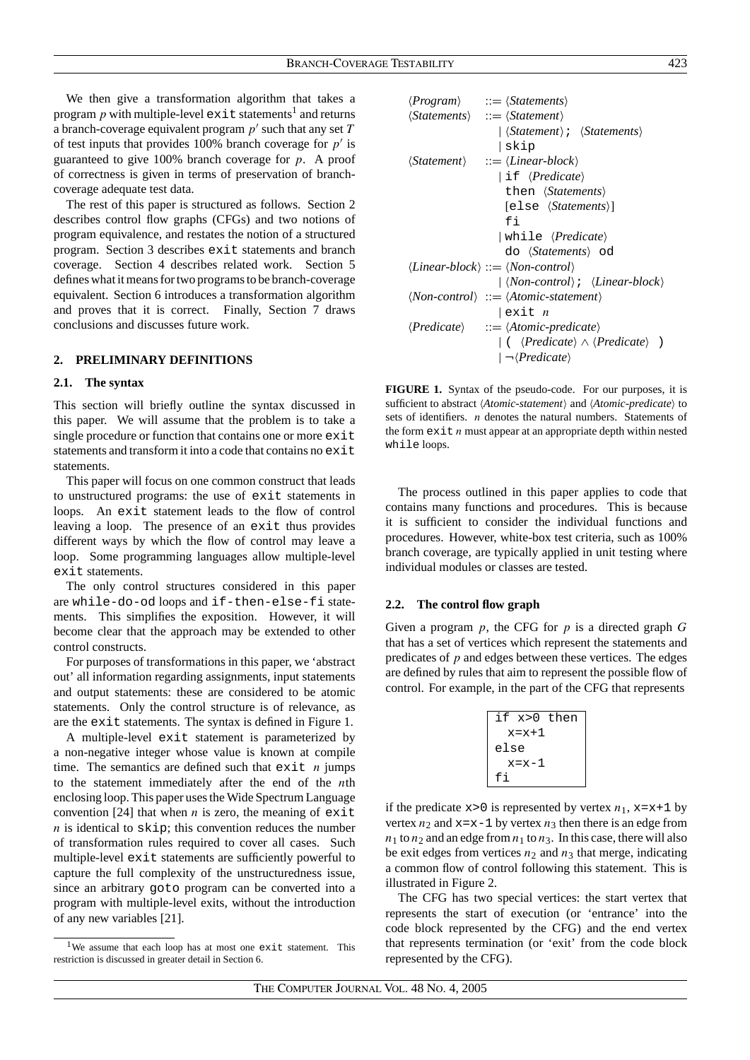We then give a transformation algorithm that takes a program  $p$  with multiple-level exit statements<sup>1</sup> and returns a branch-coverage equivalent program  $p'$  such that any set  $T$ of test inputs that provides  $100\%$  branch coverage for  $p'$  is guaranteed to give 100% branch coverage for *p*. A proof of correctness is given in terms of preservation of branchcoverage adequate test data.

The rest of this paper is structured as follows. Section 2 describes control flow graphs (CFGs) and two notions of program equivalence, and restates the notion of a structured program. Section 3 describes exit statements and branch coverage. Section 4 describes related work. Section 5 defines what it means for two programs to be branch-coverage equivalent. Section 6 introduces a transformation algorithm and proves that it is correct. Finally, Section 7 draws conclusions and discusses future work.

## **2. PRELIMINARY DEFINITIONS**

## **2.1. The syntax**

This section will briefly outline the syntax discussed in this paper. We will assume that the problem is to take a single procedure or function that contains one or more exit statements and transform it into a code that contains no exit statements.

This paper will focus on one common construct that leads to unstructured programs: the use of exit statements in loops. An exit statement leads to the flow of control leaving a loop. The presence of an exit thus provides different ways by which the flow of control may leave a loop. Some programming languages allow multiple-level exit statements.

The only control structures considered in this paper are while-do-od loops and if-then-else-fi statements. This simplifies the exposition. However, it will become clear that the approach may be extended to other control constructs.

For purposes of transformations in this paper, we 'abstract out' all information regarding assignments, input statements and output statements: these are considered to be atomic statements. Only the control structure is of relevance, as are the exit statements. The syntax is defined in Figure 1.

A multiple-level exit statement is parameterized by a non-negative integer whose value is known at compile time. The semantics are defined such that exit *n* jumps to the statement immediately after the end of the *n*th enclosing loop. This paper uses the Wide Spectrum Language convention [24] that when  $n$  is zero, the meaning of exit  $n$  is identical to skip; this convention reduces the number of transformation rules required to cover all cases. Such multiple-level exit statements are sufficiently powerful to capture the full complexity of the unstructuredness issue, since an arbitrary goto program can be converted into a program with multiple-level exits, without the introduction of any new variables [21].

| $\langle Program \rangle$ ::= $\langle Statements \rangle$                |
|---------------------------------------------------------------------------|
| $\langle Statements \rangle ::= \langle Statement \rangle$                |
| $\vert$ (Statement) : (Statements)                                        |
| skip                                                                      |
| $\langle Statement \rangle$ ::= $\langle Linear-block \rangle$            |
| if ( <i>Predicate</i> )                                                   |
| then (Statements)                                                         |
| [else <i>(Statements</i> )]                                               |
| fi                                                                        |
| while $\langle Predictate\rangle$                                         |
| do <i>(Statements</i> ) od                                                |
| $\langle Linear-block \rangle ::= \langle Non-control \rangle$            |
| $\vert$ (Non-control) : (Linear-block)                                    |
| $\langle Non-control \rangle ::= \langle Atomic-statement \rangle$        |
| $\vert$ exit $n$                                                          |
| $\langle Predicte \rangle$ ::= $\langle Atomic-predicte \rangle$          |
| $\vert$ ( $\vert$ /Predicate $\rangle \wedge \vert$ Predicate $\rangle$ ) |
| $\vert \neg \langle Predicate \rangle$                                    |
|                                                                           |

**FIGURE 1.** Syntax of the pseudo-code. For our purposes, it is sufficient to abstract *{Atomic-statement}* and *{Atomic-predicate}* to sets of identifiers. *n* denotes the natural numbers. Statements of the form  $exit n$  must appear at an appropriate depth within nested while loops.

The process outlined in this paper applies to code that contains many functions and procedures. This is because it is sufficient to consider the individual functions and procedures. However, white-box test criteria, such as 100% branch coverage, are typically applied in unit testing where individual modules or classes are tested.

### **2.2. The control flow graph**

Given a program *p*, the CFG for *p* is a directed graph *G* that has a set of vertices which represent the statements and predicates of *p* and edges between these vertices. The edges are defined by rules that aim to represent the possible flow of control. For example, in the part of the CFG that represents

|         |       | if x>0 then |  |  |
|---------|-------|-------------|--|--|
|         | x=x+1 |             |  |  |
| else    |       |             |  |  |
| $x=x-1$ |       |             |  |  |
| fi      |       |             |  |  |

if the predicate  $x>0$  is represented by vertex  $n_1$ ,  $x=x+1$  by vertex  $n_2$  and  $x=x-1$  by vertex  $n_3$  then there is an edge from  $n_1$  to  $n_2$  and an edge from  $n_1$  to  $n_3$ . In this case, there will also be exit edges from vertices  $n_2$  and  $n_3$  that merge, indicating a common flow of control following this statement. This is illustrated in Figure 2.

The CFG has two special vertices: the start vertex that represents the start of execution (or 'entrance' into the code block represented by the CFG) and the end vertex that represents termination (or 'exit' from the code block represented by the CFG).

<sup>&</sup>lt;sup>1</sup>We assume that each loop has at most one exit statement. This restriction is discussed in greater detail in Section 6.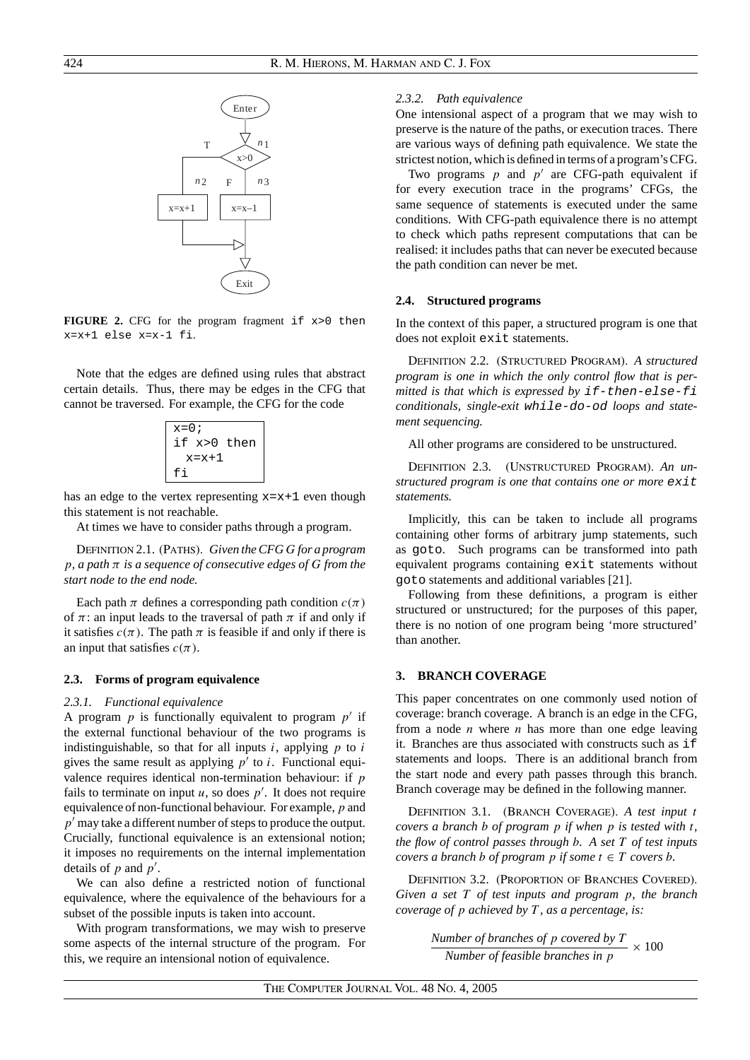

**FIGURE 2.** CFG for the program fragment if x>0 then x=x+1 else x=x-1 fi.

Note that the edges are defined using rules that abstract certain details. Thus, there may be edges in the CFG that cannot be traversed. For example, the CFG for the code

$$
x=0;
$$
  
if x>0 then  

$$
x=x+1
$$
  
fi

has an edge to the vertex representing  $x=x+1$  even though this statement is not reachable.

At times we have to consider paths through a program.

Definition 2.1. (Paths). *Given the CFG G for a program p, a path π is a sequence of consecutive edges of G from the start node to the end node.*

Each path  $\pi$  defines a corresponding path condition  $c(\pi)$ of  $\pi$ : an input leads to the traversal of path  $\pi$  if and only if it satisfies  $c(\pi)$ . The path  $\pi$  is feasible if and only if there is an input that satisfies  $c(\pi)$ .

## **2.3. Forms of program equivalence**

### *2.3.1. Functional equivalence*

A program  $p$  is functionally equivalent to program  $p'$  if the external functional behaviour of the two programs is indistinguishable, so that for all inputs *i*, applying *p* to *i* gives the same result as applying  $p'$  to *i*. Functional equivalence requires identical non-termination behaviour: if *p* fails to terminate on input  $u$ , so does  $p'$ . It does not require equivalence of non-functional behaviour. For example, *p* and p' may take a different number of steps to produce the output. Crucially, functional equivalence is an extensional notion; it imposes no requirements on the internal implementation details of  $p$  and  $p'$ .

We can also define a restricted notion of functional equivalence, where the equivalence of the behaviours for a subset of the possible inputs is taken into account.

With program transformations, we may wish to preserve some aspects of the internal structure of the program. For this, we require an intensional notion of equivalence.

## *2.3.2. Path equivalence*

One intensional aspect of a program that we may wish to preserve is the nature of the paths, or execution traces. There are various ways of defining path equivalence. We state the strictest notion, which is defined in terms of a program's CFG.

Two programs  $p$  and  $p'$  are CFG-path equivalent if for every execution trace in the programs' CFGs, the same sequence of statements is executed under the same conditions. With CFG-path equivalence there is no attempt to check which paths represent computations that can be realised: it includes paths that can never be executed because the path condition can never be met.

## **2.4. Structured programs**

In the context of this paper, a structured program is one that does not exploit exit statements.

Definition 2.2. (Structured Program). *A structured program is one in which the only control flow that is permitted is that which is expressed by* if-then-else-fi *conditionals, single-exit* while-do-od *loops and statement sequencing.*

All other programs are considered to be unstructured.

Definition 2.3. (Unstructured Program). *An unstructured program is one that contains one or more* exit *statements.*

Implicitly, this can be taken to include all programs containing other forms of arbitrary jump statements, such as goto. Such programs can be transformed into path equivalent programs containing exit statements without goto statements and additional variables [21].

Following from these definitions, a program is either structured or unstructured; for the purposes of this paper, there is no notion of one program being 'more structured' than another.

## **3. BRANCH COVERAGE**

This paper concentrates on one commonly used notion of coverage: branch coverage. A branch is an edge in the CFG, from a node *n* where *n* has more than one edge leaving it. Branches are thus associated with constructs such as if statements and loops. There is an additional branch from the start node and every path passes through this branch. Branch coverage may be defined in the following manner.

Definition 3.1. (Branch Coverage). *A test input t covers a branch b of program p if when p is tested with t, the flow of control passes through b. A set T of test inputs covers a branch b of program p if some*  $t \in T$  *covers b*.

Definition 3.2. (Proportion of Branches Covered). *Given a set T of test inputs and program p, the branch coverage of p achieved by T , as a percentage, is:*

*Number of branches of p covered by*  $T \times 100$ <br>*Number of feasible branches in*  $p \times 100$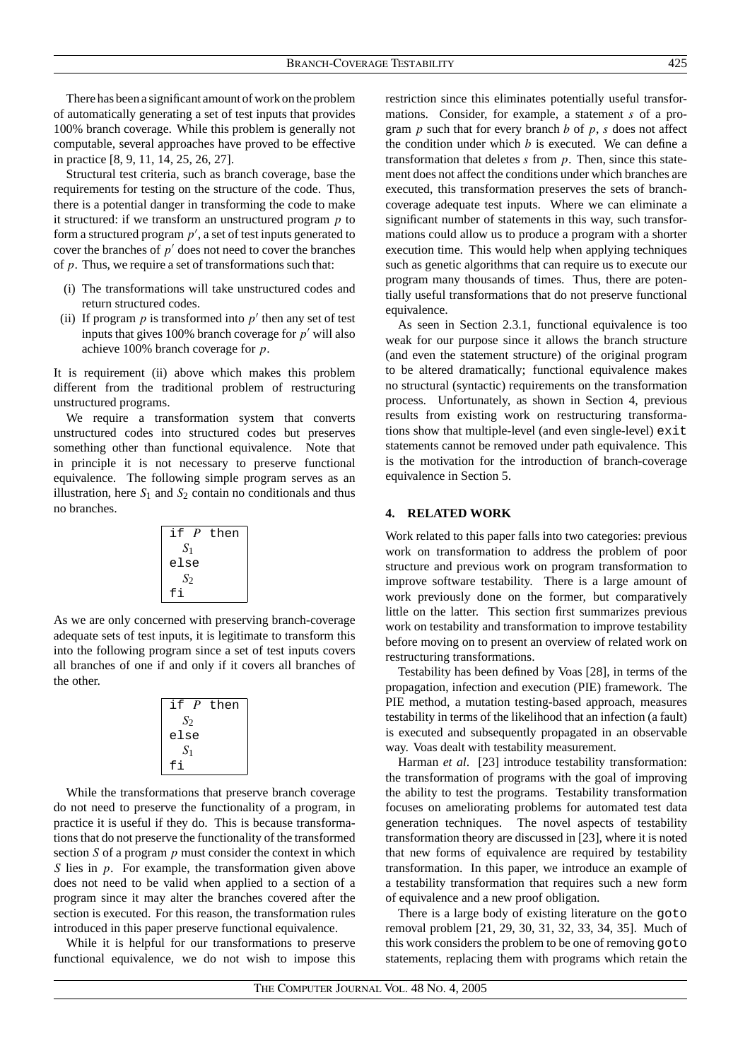There has been a significant amount of work on the problem of automatically generating a set of test inputs that provides 100% branch coverage. While this problem is generally not computable, several approaches have proved to be effective in practice [8, 9, 11, 14, 25, 26, 27].

Structural test criteria, such as branch coverage, base the requirements for testing on the structure of the code. Thus, there is a potential danger in transforming the code to make it structured: if we transform an unstructured program *p* to form a structured program  $p'$ , a set of test inputs generated to cover the branches of  $p'$  does not need to cover the branches of *p*. Thus, we require a set of transformations such that:

- (i) The transformations will take unstructured codes and return structured codes.
- (ii) If program  $p$  is transformed into  $p'$  then any set of test inputs that gives  $100\%$  branch coverage for  $p'$  will also achieve 100% branch coverage for *p*.

It is requirement (ii) above which makes this problem different from the traditional problem of restructuring unstructured programs.

We require a transformation system that converts unstructured codes into structured codes but preserves something other than functional equivalence. Note that in principle it is not necessary to preserve functional equivalence. The following simple program serves as an illustration, here  $S_1$  and  $S_2$  contain no conditionals and thus no branches.

$$
\begin{array}{|c|} \hline \text{if } P \text{ then} \\ \hline S_1 \\ \hline \text{else} \\ S_2 \\ \hline \text{fi} \end{array}
$$

As we are only concerned with preserving branch-coverage adequate sets of test inputs, it is legitimate to transform this into the following program since a set of test inputs covers all branches of one if and only if it covers all branches of the other.

| if | P     | then |
|----|-------|------|
|    | S2    |      |
|    | else  |      |
|    | $S_1$ |      |
| fi |       |      |

While the transformations that preserve branch coverage do not need to preserve the functionality of a program, in practice it is useful if they do. This is because transformations that do not preserve the functionality of the transformed section *S* of a program *p* must consider the context in which *S* lies in *p*. For example, the transformation given above does not need to be valid when applied to a section of a program since it may alter the branches covered after the section is executed. For this reason, the transformation rules introduced in this paper preserve functional equivalence.

While it is helpful for our transformations to preserve functional equivalence, we do not wish to impose this restriction since this eliminates potentially useful transformations. Consider, for example, a statement *s* of a program *p* such that for every branch *b* of *p*, *s* does not affect the condition under which *b* is executed. We can define a transformation that deletes *s* from *p*. Then, since this statement does not affect the conditions under which branches are executed, this transformation preserves the sets of branchcoverage adequate test inputs. Where we can eliminate a significant number of statements in this way, such transformations could allow us to produce a program with a shorter execution time. This would help when applying techniques such as genetic algorithms that can require us to execute our program many thousands of times. Thus, there are potentially useful transformations that do not preserve functional equivalence.

As seen in Section 2.3.1, functional equivalence is too weak for our purpose since it allows the branch structure (and even the statement structure) of the original program to be altered dramatically; functional equivalence makes no structural (syntactic) requirements on the transformation process. Unfortunately, as shown in Section 4, previous results from existing work on restructuring transformations show that multiple-level (and even single-level) exit statements cannot be removed under path equivalence. This is the motivation for the introduction of branch-coverage equivalence in Section 5.

# **4. RELATED WORK**

Work related to this paper falls into two categories: previous work on transformation to address the problem of poor structure and previous work on program transformation to improve software testability. There is a large amount of work previously done on the former, but comparatively little on the latter. This section first summarizes previous work on testability and transformation to improve testability before moving on to present an overview of related work on restructuring transformations.

Testability has been defined by Voas [28], in terms of the propagation, infection and execution (PIE) framework. The PIE method, a mutation testing-based approach, measures testability in terms of the likelihood that an infection (a fault) is executed and subsequently propagated in an observable way. Voas dealt with testability measurement.

Harman *et al.* [23] introduce testability transformation: the transformation of programs with the goal of improving the ability to test the programs. Testability transformation focuses on ameliorating problems for automated test data generation techniques. The novel aspects of testability transformation theory are discussed in [23], where it is noted that new forms of equivalence are required by testability transformation. In this paper, we introduce an example of a testability transformation that requires such a new form of equivalence and a new proof obligation.

There is a large body of existing literature on the goto removal problem [21, 29, 30, 31, 32, 33, 34, 35]. Much of this work considers the problem to be one of removing goto statements, replacing them with programs which retain the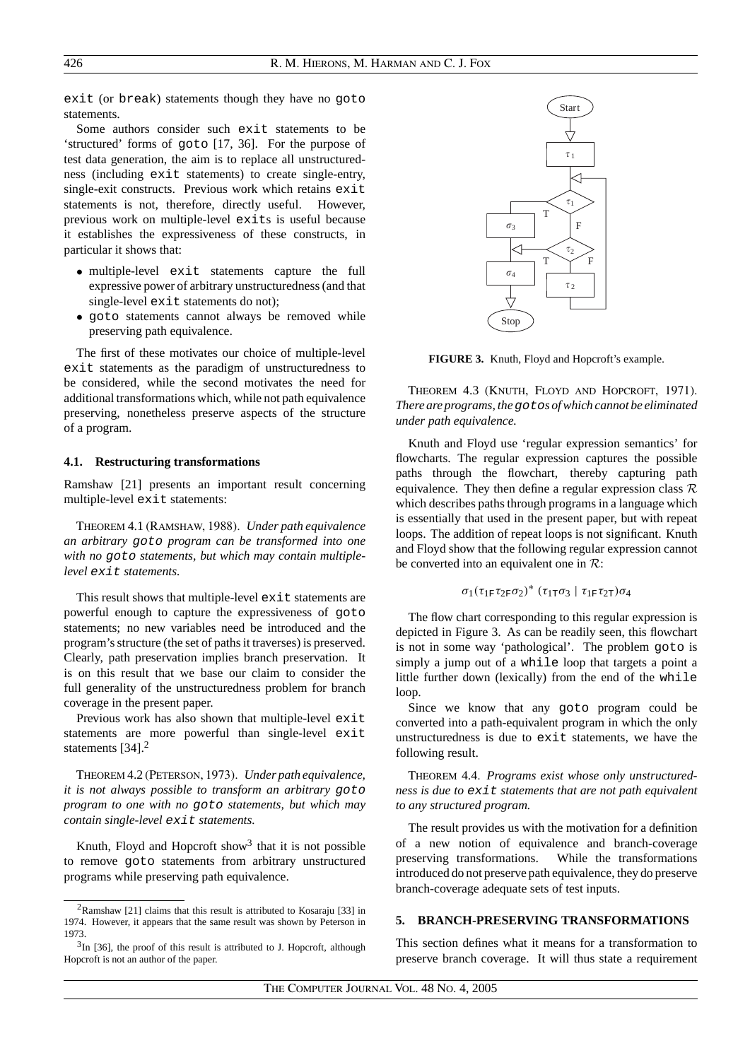exit (or break) statements though they have no goto statements.

Some authors consider such exit statements to be 'structured' forms of goto [17, 36]. For the purpose of test data generation, the aim is to replace all unstructuredness (including exit statements) to create single-entry, single-exit constructs. Previous work which retains exit statements is not, therefore, directly useful. However, previous work on multiple-level exits is useful because it establishes the expressiveness of these constructs, in particular it shows that:

- multiple-level exit statements capture the full expressive power of arbitrary unstructuredness (and that single-level exit statements do not);
- goto statements cannot always be removed while preserving path equivalence.

The first of these motivates our choice of multiple-level exit statements as the paradigm of unstructuredness to be considered, while the second motivates the need for additional transformations which, while not path equivalence preserving, nonetheless preserve aspects of the structure of a program.

## **4.1. Restructuring transformations**

Ramshaw [21] presents an important result concerning multiple-level exit statements:

Theorem 4.1 (Ramshaw, 1988). *Under path equivalence an arbitrary* goto *program can be transformed into one with no* goto *statements, but which may contain multiplelevel* exit *statements.*

This result shows that multiple-level exit statements are powerful enough to capture the expressiveness of goto statements; no new variables need be introduced and the program's structure (the set of paths it traverses) is preserved. Clearly, path preservation implies branch preservation. It is on this result that we base our claim to consider the full generality of the unstructuredness problem for branch coverage in the present paper.

Previous work has also shown that multiple-level exit statements are more powerful than single-level exit statements [34].<sup>2</sup>

Theorem4.2 (Peterson, 1973). *Under path equivalence, it is not always possible to transform an arbitrary* goto *program to one with no* goto *statements, but which may contain single-level* exit *statements.*

Knuth, Floyd and Hopcroft show $3$  that it is not possible to remove goto statements from arbitrary unstructured programs while preserving path equivalence.



**FIGURE 3.** Knuth, Floyd and Hopcroft's example.

THEOREM 4.3 (KNUTH, FLOYD AND HOPCROFT, 1971). *There are programs, the*goto*s of which cannot be eliminated under path equivalence.*

Knuth and Floyd use 'regular expression semantics' for flowcharts. The regular expression captures the possible paths through the flowchart, thereby capturing path equivalence. They then define a regular expression class  $\mathcal R$ which describes paths through programs in a language which is essentially that used in the present paper, but with repeat loops. The addition of repeat loops is not significant. Knuth and Floyd show that the following regular expression cannot be converted into an equivalent one in  $\mathcal{R}$ :

$$
\sigma_1(\tau_{1F}\tau_{2F}\sigma_2)^* (\tau_{1T}\sigma_3 \mid \tau_{1F}\tau_{2T})\sigma_4
$$

The flow chart corresponding to this regular expression is depicted in Figure 3. As can be readily seen, this flowchart is not in some way 'pathological'. The problem goto is simply a jump out of a while loop that targets a point a little further down (lexically) from the end of the while loop.

Since we know that any goto program could be converted into a path-equivalent program in which the only unstructuredness is due to exit statements, we have the following result.

Theorem 4.4. *Programs exist whose only unstructuredness is due to* exit *statements that are not path equivalent to any structured program.*

The result provides us with the motivation for a definition of a new notion of equivalence and branch-coverage preserving transformations. While the transformations introduced do not preserve path equivalence, they do preserve branch-coverage adequate sets of test inputs.

# **5. BRANCH-PRESERVING TRANSFORMATIONS**

This section defines what it means for a transformation to preserve branch coverage. It will thus state a requirement

 $2$ Ramshaw [21] claims that this result is attributed to Kosaraju [33] in 1974. However, it appears that the same result was shown by Peterson in 1973.

 $3\text{In}$  [36], the proof of this result is attributed to J. Hopcroft, although Hopcroft is not an author of the paper.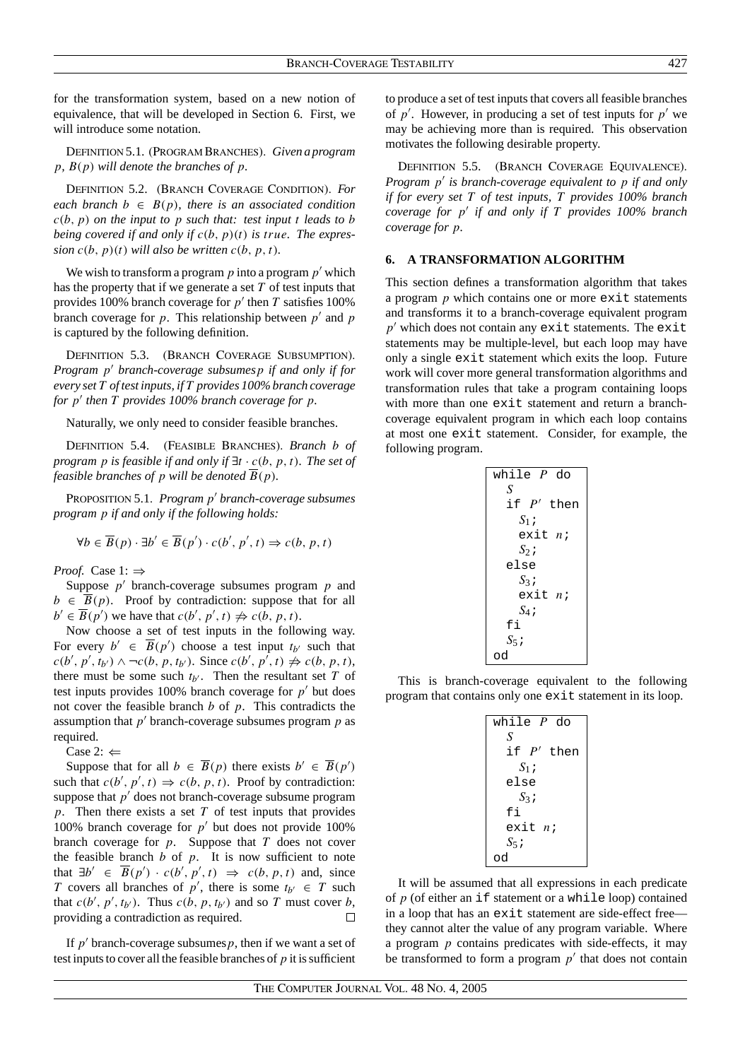for the transformation system, based on a new notion of equivalence, that will be developed in Section 6. First, we will introduce some notation.

Definition 5.1. (Program Branches). *Given a program p, B(p) will denote the branches of p.*

Definition 5.2. (Branch Coverage Condition). *For each branch*  $b \in B(p)$ *, there is an associated condition c(b, p) on the input to p such that: test input t leads to b being covered if and only if*  $c(b, p)(t)$  *is true. The expression*  $c(b, p)(t)$  *will also be written*  $c(b, p, t)$ *.* 

We wish to transform a program  $p$  into a program  $p'$  which has the property that if we generate a set *T* of test inputs that provides 100% branch coverage for  $p'$  then  $T$  satisfies 100% branch coverage for  $p$ . This relationship between  $p'$  and  $p$ is captured by the following definition.

DEFINITION 5.3. (BRANCH COVERAGE SUBSUMPTION). *Program p*- *branch-coverage subsumesp if and only if for every set T of test inputs, if T provides 100% branch coverage for p*- *then T provides 100% branch coverage for p.*

Naturally, we only need to consider feasible branches.

Definition 5.4. (Feasible Branches). *Branch b of program p is feasible if and only if* ∃*t* · *c(b, p, t). The set of feasible branches of p will be denoted*  $\overline{B}(p)$ *.* 

PROPOSITION 5.1. *Program p' branch-coverage subsumes program p if and only if the following holds:*

$$
\forall b \in \overline{B}(p) \cdot \exists b' \in \overline{B}(p') \cdot c(b', p', t) \Rightarrow c(b, p, t)
$$

*Proof.* Case 1:  $\Rightarrow$ 

Suppose p<sup>'</sup> branch-coverage subsumes program p and  $b \in \overline{B}(p)$ . Proof by contradiction: suppose that for all  $b' \in B(p')$  we have that  $c(b', p', t) \nRightarrow c(b, p, t)$ .

Now choose a set of test inputs in the following way. For every  $b' \in B(p')$  choose a test input  $t_{b'}$  such that  $c(b', p', t_{b'}) \wedge \neg c(b, p, t_{b'})$ . Since  $c(b', p', t) \neq c(b, p, t)$ , there must be some such  $t_{b'}$ . Then the resultant set *T* of test inputs provides  $100\%$  branch coverage for  $p'$  but does not cover the feasible branch *b* of *p*. This contradicts the assumption that p' branch-coverage subsumes program p as required.

Case 2:  $\Leftarrow$ 

Suppose that for all  $b \in B(p)$  there exists  $b' \in B(p')$ such that  $c(b', p', t) \Rightarrow c(b, p, t)$ . Proof by contradiction: suppose that  $p'$  does not branch-coverage subsume program *p*. Then there exists a set *T* of test inputs that provides 100% branch coverage for  $p'$  but does not provide 100% branch coverage for *p*. Suppose that *T* does not cover the feasible branch *b* of *p*. It is now sufficient to note that  $\exists b' \in B(p') \cdot c(b', p', t) \Rightarrow c(b, p, t)$  and, since *T* covers all branches of *p'*, there is some  $t_{b'} \in T$  such that  $c(b', p', t_{b'})$ . Thus  $c(b, p, t_{b'})$  and so *T* must cover *b*, providing a contradiction as required.  $\Box$ 

If  $p'$  branch-coverage subsumes  $p$ , then if we want a set of test inputs to cover all the feasible branches of *p* it is sufficient to produce a set of test inputs that covers all feasible branches of  $p'$ . However, in producing a set of test inputs for  $p'$  we may be achieving more than is required. This observation motivates the following desirable property.

Definition 5.5. (Branch Coverage Equivalence). *Program p*- *is branch-coverage equivalent to p if and only if for every set T of test inputs, T provides 100% branch coverage for p*- *if and only if T provides 100% branch coverage for p.*

# **6. A TRANSFORMATION ALGORITHM**

This section defines a transformation algorithm that takes a program *p* which contains one or more exit statements and transforms it to a branch-coverage equivalent program  $p'$  which does not contain any exit statements. The exit statements may be multiple-level, but each loop may have only a single exit statement which exits the loop. Future work will cover more general transformation algorithms and transformation rules that take a program containing loops with more than one exit statement and return a branchcoverage equivalent program in which each loop contains at most one exit statement. Consider, for example, the following program.

| while $P$<br>do |
|-----------------|
| S               |
| if $P'$<br>then |
| $S_1$ ;         |
| exit <i>n;</i>  |
| $S_2$ i         |
| else            |
| $S_3$ ;         |
| exit <i>n;</i>  |
| S4 i            |
| fi              |
| $S$ s i         |
|                 |
|                 |

This is branch-coverage equivalent to the following program that contains only one exit statement in its loop.

| while $P$<br>do |
|-----------------|
| S               |
| if $P'$<br>then |
| $S_1$ ;         |
| else            |
| $S_3$ i         |
| fi              |
| exit <i>n;</i>  |
| $S$ s i         |
|                 |

It will be assumed that all expressions in each predicate of *p* (of either an if statement or a while loop) contained in a loop that has an exit statement are side-effect free they cannot alter the value of any program variable. Where a program *p* contains predicates with side-effects, it may be transformed to form a program  $p'$  that does not contain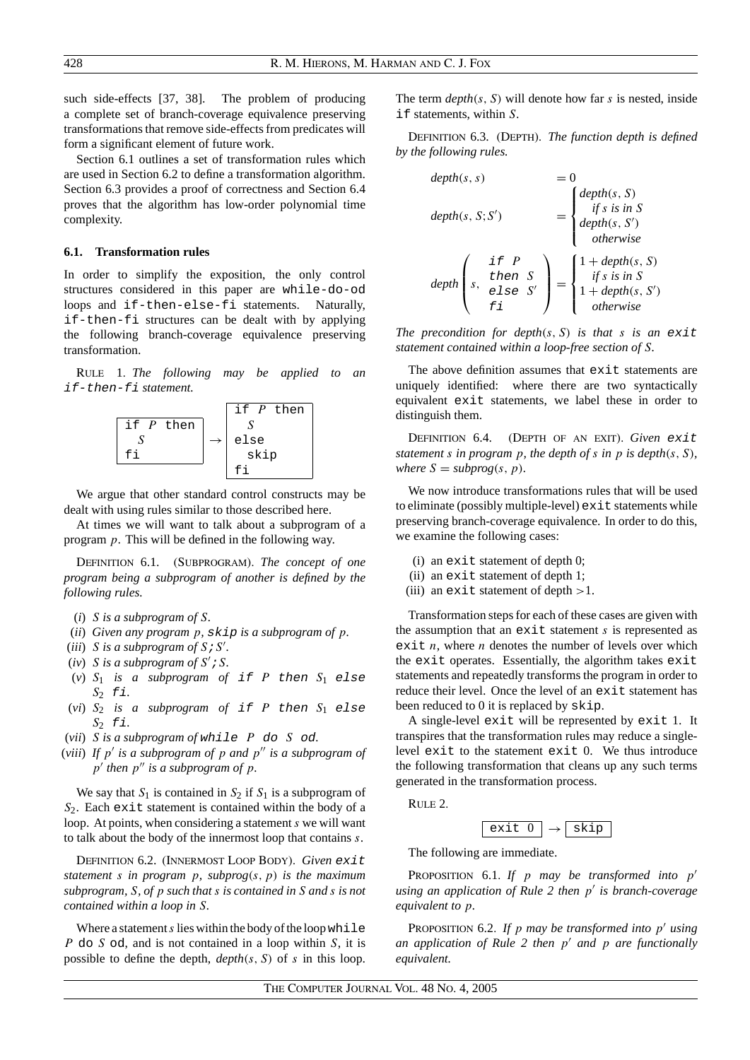such side-effects [37, 38]. The problem of producing a complete set of branch-coverage equivalence preserving transformations that remove side-effects from predicates will form a significant element of future work.

Section 6.1 outlines a set of transformation rules which are used in Section 6.2 to define a transformation algorithm. Section 6.3 provides a proof of correctness and Section 6.4 proves that the algorithm has low-order polynomial time complexity.

# **6.1. Transformation rules**

In order to simplify the exposition, the only control structures considered in this paper are while-do-od loops and if-then-else-fi statements. Naturally, if-then-fi structures can be dealt with by applying the following branch-coverage equivalence preserving transformation.

Rule 1. *The following may be applied to an* if-then-fi *statement.*



We argue that other standard control constructs may be dealt with using rules similar to those described here.

At times we will want to talk about a subprogram of a program *p*. This will be defined in the following way.

Definition 6.1. (Subprogram). *The concept of one program being a subprogram of another is defined by the following rules.*

- (*i*) *S is a subprogram of S.*
- (*ii*) *Given any program p,* skip *is a subprogram of p.*
- (*iii*) *S* is a subprogram of  $S$ ;  $S'$ .
- (*iv*) *S is a subprogram of*  $S'$ ; *S.*
- (*v*)  $S_1$  *is a subprogram of if P then*  $S_1$  else *S*<sup>2</sup> fi*.*
- (*vi*) *S*<sup>2</sup> *is a subprogram of* if *P* then *S*<sup>1</sup> else *S*<sup>2</sup> fi*.*
- (*vii*) *S is a subprogram of* while *P* do *S* od*.*
- (*viii*) If  $p'$  is a subprogram of  $p$  and  $p''$  is a subprogram of *p*- *then p*-- *is a subprogram of p.*

We say that  $S_1$  is contained in  $S_2$  if  $S_1$  is a subprogram of *S*2. Each exit statement is contained within the body of a loop. At points, when considering a statement*s* we will want to talk about the body of the innermost loop that contains *s*.

Definition 6.2. (Innermost Loop Body). *Given* exit *statement s in program p, subprog(s, p) is the maximum subprogram, S, of p such that s is contained in S and s is not contained within a loop in S.*

Where a statement*s* lies within the body of the loopwhile *P* do *S* od, and is not contained in a loop within *S*, it is possible to define the depth, *depth(s, S)* of *s* in this loop.

The term *depth(s, S)* will denote how far *s* is nested, inside if statements, within *S*.

Definition 6.3. (Depth). *The function depth is defined by the following rules.*

$$
depth(s, s) = 0
$$
  
\n
$$
depth(s, S; S') = \begin{cases} depth(s, S) \\ if s is in S \\ depth(s, S') \\ depth(s, S') \\ otherwise \end{cases}
$$
  
\n
$$
depth \begin{pmatrix} if P \\ s, then S \\ else S' \end{pmatrix} = \begin{cases} 1 + depth(s, S) \\ if s is in S \\ 1 + depth(s, S') \\ otherwise \end{cases}
$$

*The precondition for depth(s, S) is that s is an* exit *statement contained within a loop-free section of S.*

The above definition assumes that  $exit$  statements are uniquely identified: where there are two syntactically equivalent exit statements, we label these in order to distinguish them.

Definition 6.4. (Depth of an exit). *Given* exit *statement s in program p, the depth of s in p is depth(s, S), where*  $S = \text{subprog}(s, p)$ *.* 

We now introduce transformations rules that will be used to eliminate (possibly multiple-level) exit statements while preserving branch-coverage equivalence. In order to do this, we examine the following cases:

- (i) an exit statement of depth 0;
- (ii) an exit statement of depth 1;
- (iii) an exit statement of depth *>*1.

Transformation steps for each of these cases are given with the assumption that an exit statement *s* is represented as exit *n*, where *n* denotes the number of levels over which the exit operates. Essentially, the algorithm takes exit statements and repeatedly transforms the program in order to reduce their level. Once the level of an exit statement has been reduced to 0 it is replaced by skip.

A single-level exit will be represented by exit 1. It transpires that the transformation rules may reduce a singlelevel exit to the statement exit 0. We thus introduce the following transformation that cleans up any such terms generated in the transformation process.

RULE<sub>2</sub>.

exit  $0 \rightarrow$  skip

The following are immediate.

PROPOSITION 6.1. If  $p$  may be transformed into  $p'$ using an application of Rule 2 then  $p'$  is branch-coverage *equivalent to p.*

PROPOSITION 6.2. If *p* may be transformed into *p'* using *an application of Rule 2 then p*- *and p are functionally equivalent.*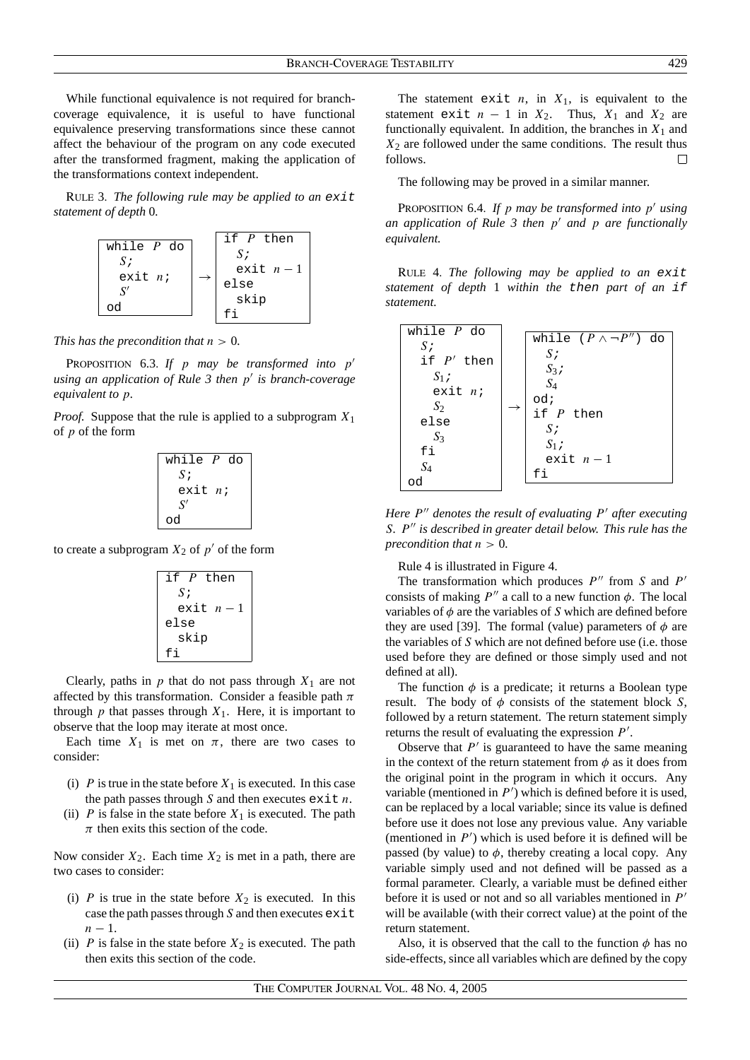While functional equivalence is not required for branchcoverage equivalence, it is useful to have functional equivalence preserving transformations since these cannot affect the behaviour of the program on any code executed after the transformed fragment, making the application of the transformations context independent.

Rule 3. *The following rule may be applied to an* exit *statement of depth* 0*.*



*This has the precondition that*  $n > 0$ *.* 

PROPOSITION 6.3. If  $p$  may be transformed into  $p'$ using an application of Rule 3 then  $p'$  is branch-coverage *equivalent to p.*

*Proof.* Suppose that the rule is applied to a subprogram *X*<sup>1</sup> of *p* of the form

| while $P$<br>ർറ |
|-----------------|
| S :             |
| exit <i>n;</i>  |
| S'              |
| od              |

to create a subprogram  $X_2$  of  $p'$  of the form

$$
\begin{array}{|l|} \hline \text{if } P \text{ then} \\ \hline S; \\ \hline \text{exit } n-1 \\ \hline \text{else} \\ \hline \text{skip} \\ \hline \text{skip} \\ \hline \end{array}
$$

Clearly, paths in  $p$  that do not pass through  $X_1$  are not affected by this transformation. Consider a feasible path *π* through  $p$  that passes through  $X_1$ . Here, it is important to observe that the loop may iterate at most once.

Each time  $X_1$  is met on  $\pi$ , there are two cases to consider:

- (i) *P* is true in the state before  $X_1$  is executed. In this case the path passes through  $S$  and then executes  $\exists$ xit  $n$ .
- (ii) *P* is false in the state before  $X_1$  is executed. The path  $\pi$  then exits this section of the code.

Now consider  $X_2$ . Each time  $X_2$  is met in a path, there are two cases to consider:

- (i) *P* is true in the state before  $X_2$  is executed. In this case the path passes through *S* and then executes exit *n* − 1.
- (ii) *P* is false in the state before  $X_2$  is executed. The path then exits this section of the code.

The statement exit  $n$ , in  $X_1$ , is equivalent to the statement exit  $n - 1$  in  $X_2$ . Thus,  $X_1$  and  $X_2$  are functionally equivalent. In addition, the branches in  $X_1$  and  $X_2$  are followed under the same conditions. The result thus follows.  $\Box$ 

The following may be proved in a similar manner.

PROPOSITION 6.4. If *p* may be transformed into *p'* using *an application of Rule 3 then p*- *and p are functionally equivalent.*

Rule 4. *The following may be applied to an* exit *statement of depth* 1 *within the* then *part of an* if *statement.*

| while $P$ do<br>S:<br>if $P'$ then<br>$S_1$ ;<br>exist ni<br>$S_2$<br>else<br>$S_3$<br>fi<br>$S_4$ |  | while $(P \wedge \neg P'')$ do<br>S:<br>$S_3$ ;<br>$S_4$<br>od;<br>if $P$ then<br>S:<br>$S_1$ ;<br>exit $n-1$<br>fi |
|----------------------------------------------------------------------------------------------------|--|---------------------------------------------------------------------------------------------------------------------|
|----------------------------------------------------------------------------------------------------|--|---------------------------------------------------------------------------------------------------------------------|

*Here*  $P''$  denotes the result of evaluating  $P'$  after executing S. P'' is described in greater detail below. This rule has the *precondition that n >* 0*.*

Rule 4 is illustrated in Figure 4.

The transformation which produces  $P''$  from *S* and  $P'$ consists of making  $P''$  a call to a new function  $\phi$ . The local variables of *φ* are the variables of *S* which are defined before they are used [39]. The formal (value) parameters of  $\phi$  are the variables of *S* which are not defined before use (i.e. those used before they are defined or those simply used and not defined at all).

The function  $\phi$  is a predicate; it returns a Boolean type result. The body of  $\phi$  consists of the statement block *S*, followed by a return statement. The return statement simply returns the result of evaluating the expression  $P'$ .

Observe that  $P'$  is guaranteed to have the same meaning in the context of the return statement from  $\phi$  as it does from the original point in the program in which it occurs. Any variable (mentioned in  $P'$ ) which is defined before it is used, can be replaced by a local variable; since its value is defined before use it does not lose any previous value. Any variable (mentioned in  $P'$ ) which is used before it is defined will be passed (by value) to  $\phi$ , thereby creating a local copy. Any variable simply used and not defined will be passed as a formal parameter. Clearly, a variable must be defined either before it is used or not and so all variables mentioned in *P* will be available (with their correct value) at the point of the return statement.

Also, it is observed that the call to the function  $\phi$  has no side-effects, since all variables which are defined by the copy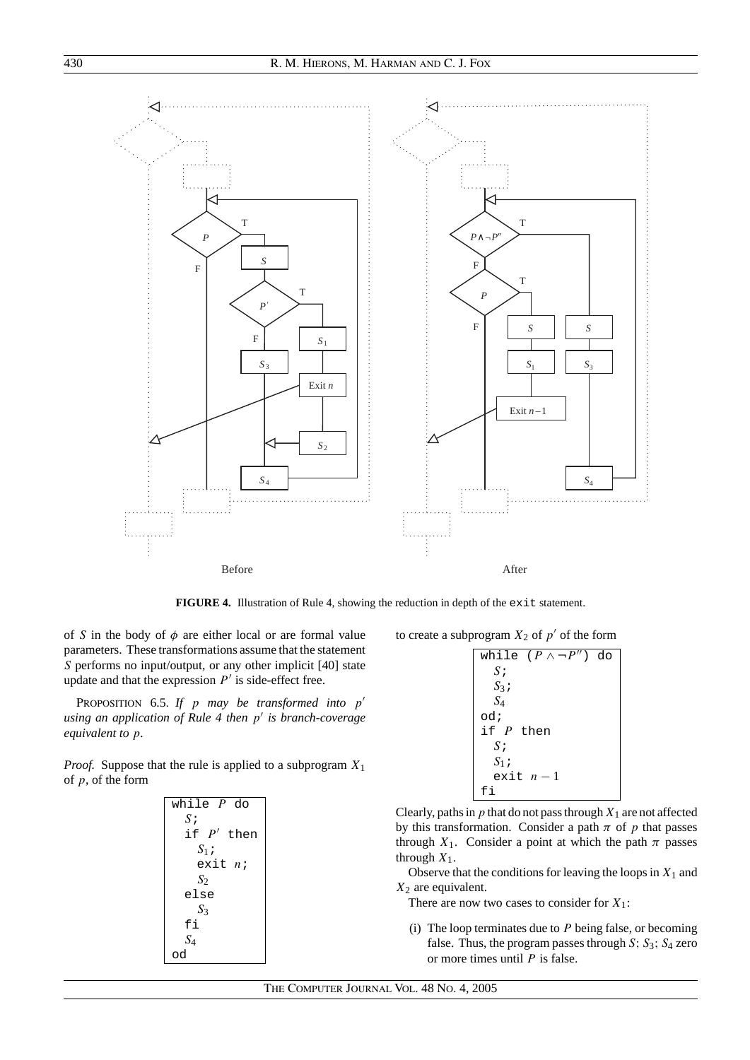

FIGURE 4. Illustration of Rule 4, showing the reduction in depth of the exit statement.

of *S* in the body of  $\phi$  are either local or are formal value parameters. These transformations assume that the statement *S* performs no input/output, or any other implicit [40] state update and that the expression  $P'$  is side-effect free.

PROPOSITION 6.5. If  $p$  may be transformed into  $p'$ *using an application of Rule 4 then p*- *is branch-coverage equivalent to p.*

*Proof.* Suppose that the rule is applied to a subprogram *X*<sup>1</sup> of *p*, of the form

| while $P$ do    |
|-----------------|
| S:              |
| if $P'$<br>then |
| $S_1$ ;         |
| exit <i>n;</i>  |
| $S_2$           |
| else            |
| S3              |
| fi              |
| $S_4$           |
| പ               |

to create a subprogram  $X_2$  of  $p'$  of the form

| while $(P \wedge \neg P'')$ do |  |
|--------------------------------|--|
| S:                             |  |
| $S_3$ ;                        |  |
| $S_4$                          |  |
| od;                            |  |
| if $P$ then                    |  |
| S:                             |  |
| $S1$ ;                         |  |
| exit $n-1$                     |  |
|                                |  |

Clearly, paths in  $p$  that do not pass through  $X_1$  are not affected by this transformation. Consider a path  $\pi$  of  $p$  that passes through  $X_1$ . Consider a point at which the path  $\pi$  passes through  $X_1$ .

Observe that the conditions for leaving the loops in  $X_1$  and *X*<sup>2</sup> are equivalent.

There are now two cases to consider for *X*1:

(i) The loop terminates due to *P* being false, or becoming false. Thus, the program passes through  $S$ ;  $S_3$ ;  $S_4$  zero or more times until *P* is false.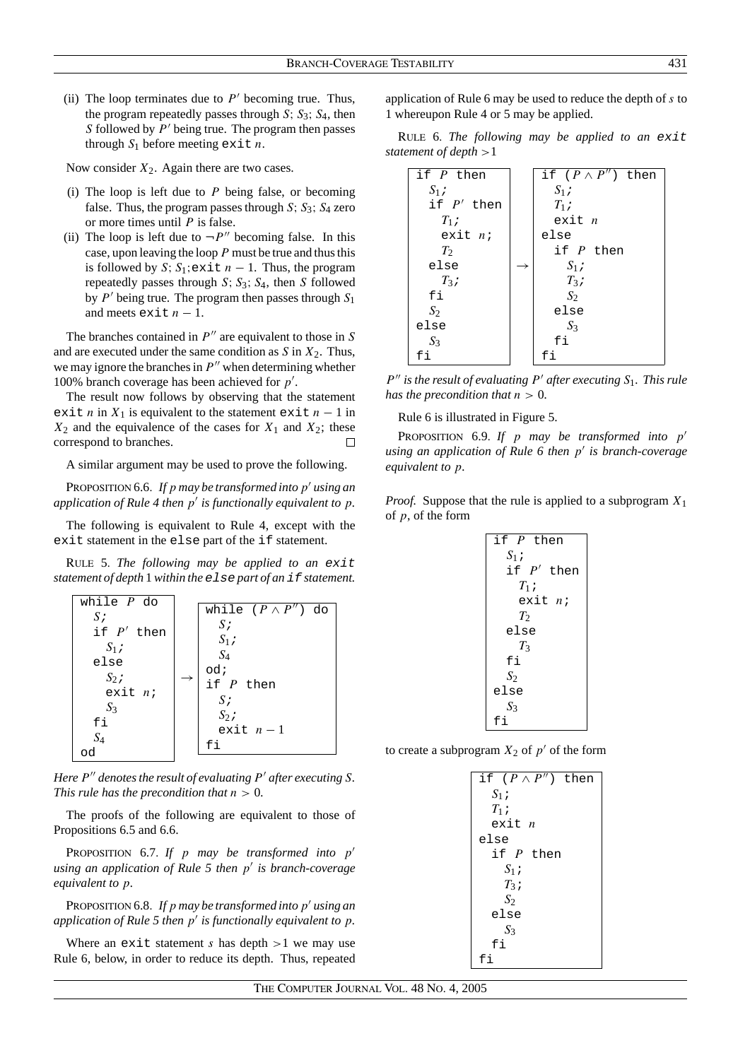(ii) The loop terminates due to  $P'$  becoming true. Thus, the program repeatedly passes through  $S$ ;  $S_3$ ;  $S_4$ , then *S* followed by *P*<sup> $\prime$ </sup> being true. The program then passes through  $S_1$  before meeting exit *n*.

Now consider *X*2. Again there are two cases.

- (i) The loop is left due to *P* being false, or becoming false. Thus, the program passes through  $S$ ;  $S_3$ ;  $S_4$  zero or more times until *P* is false.
- (ii) The loop is left due to  $\neg P''$  becoming false. In this case, upon leaving the loop *P* must be true and thus this is followed by *S*;  $S_1$ ; exit  $n-1$ . Thus, the program repeatedly passes through *S*; *S*3; *S*4, then *S* followed by *P*- being true. The program then passes through *S*<sup>1</sup> and meets exit  $n-1$ .

The branches contained in  $P''$  are equivalent to those in *S* and are executed under the same condition as  $S$  in  $X_2$ . Thus, we may ignore the branches in  $P''$  when determining whether 100% branch coverage has been achieved for  $p'$ .

The result now follows by observing that the statement exit *n* in  $X_1$  is equivalent to the statement exit  $n-1$  in  $X_2$  and the equivalence of the cases for  $X_1$  and  $X_2$ ; these correspond to branches.

A similar argument may be used to prove the following.

PROPOSITION 6.6. If p may be transformed into p' using an *application of Rule 4 then p*- *is functionally equivalent to p.*

The following is equivalent to Rule 4, except with the exit statement in the else part of the if statement.

Rule 5. *The following may be applied to an* exit *statement of depth* 1*within the* else *part of an* if *statement.*



*Here P*-- *denotes the result of evaluating P*- *after executing S. This rule has the precondition that*  $n > 0$ *.* 

The proofs of the following are equivalent to those of Propositions 6.5 and 6.6.

PROPOSITION 6.7. If  $p$  may be transformed into  $p'$ using an application of Rule 5 then  $p'$  is branch-coverage *equivalent to p.*

PROPOSITION 6.8. If p may be transformed into p' using an *application of Rule 5 then p*- *is functionally equivalent to p.*

Where an exit statement *s* has depth  $>1$  we may use Rule 6, below, in order to reduce its depth. Thus, repeated application of Rule 6 may be used to reduce the depth of *s* to 1 whereupon Rule 4 or 5 may be applied.

Rule 6. *The following may be applied to an* exit *statement of depth >*1

| if $P$ then  | if $(P \wedge P'')$ then |
|--------------|--------------------------|
| $S_1$ ;      | $S_1$ ;                  |
| if $P'$ then | $T_1$ ;                  |
| $T_1$ ;      | exist n                  |
| exist ni     | else                     |
| $T_2$        | if $P$ then              |
| else         | $S_1$ ;                  |
| $T_3$ ;      | $T_3;$                   |
| fi           | $S_2$                    |
| $S_2$        | else                     |
| else         | $S_3$                    |
| $S_3$        | fi                       |
| fi           | fi                       |

*P*<sup>*n*</sup> is the result of evaluating *P*<sup>*'*</sup> after executing *S*<sub>1</sub>. This rule *has the precondition that n >* 0*.*

Rule 6 is illustrated in Figure 5.

PROPOSITION 6.9. If  $p$  may be transformed into  $p'$ using an application of Rule 6 then  $p'$  is branch-coverage *equivalent to p.*

*Proof.* Suppose that the rule is applied to a subprogram *X*<sup>1</sup> of *p*, of the form

| if $P$ then    |  |  |  |  |
|----------------|--|--|--|--|
| $S_1$ ;        |  |  |  |  |
| if P'<br>then  |  |  |  |  |
| $T_1$ ;        |  |  |  |  |
| exit <i>n;</i> |  |  |  |  |
| $T_2$          |  |  |  |  |
| else           |  |  |  |  |
| $T_3$          |  |  |  |  |
| fi             |  |  |  |  |
| $S_2$          |  |  |  |  |
| else           |  |  |  |  |
| $S_3$          |  |  |  |  |
| fi             |  |  |  |  |

to create a subprogram  $X_2$  of  $p'$  of the form

| if $(P \wedge P'')$ then |  |
|--------------------------|--|
| $S_1$ ;                  |  |
| $T_1$ ;                  |  |
| exit n                   |  |
| else                     |  |
| if $P$ then              |  |
| $S_1$ ;                  |  |
| $T_3$ ;                  |  |
| $S_2$                    |  |
| else                     |  |
| $S_3$                    |  |
| fi                       |  |
| fi                       |  |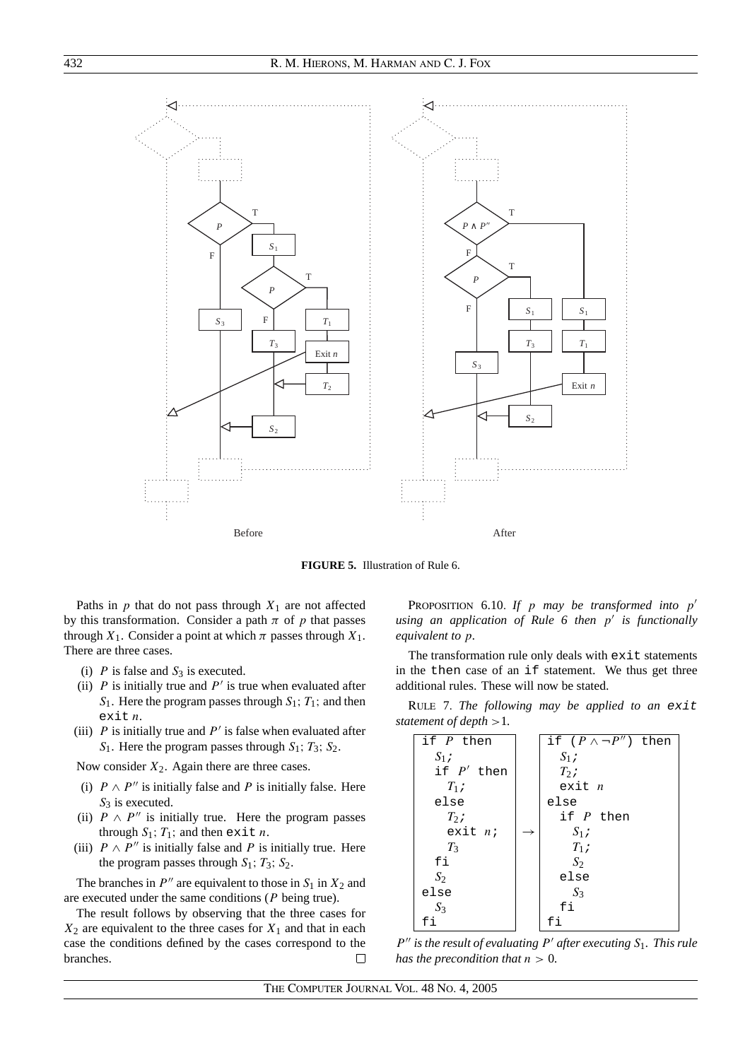

**FIGURE 5.** Illustration of Rule 6.

Paths in  $p$  that do not pass through  $X_1$  are not affected by this transformation. Consider a path  $\pi$  of  $p$  that passes through  $X_1$ . Consider a point at which  $\pi$  passes through  $X_1$ . There are three cases.

- (i)  $P$  is false and  $S_3$  is executed.
- (ii)  $P$  is initially true and  $P'$  is true when evaluated after *S*1. Here the program passes through *S*1; *T*1; and then exit *n*.
- (iii)  $P$  is initially true and  $P'$  is false when evaluated after *S*1. Here the program passes through *S*1; *T*3; *S*2.

Now consider *X*2. Again there are three cases.

- (i)  $P \wedge P''$  is initially false and *P* is initially false. Here *S*<sup>3</sup> is executed.
- (ii)  $P \wedge P''$  is initially true. Here the program passes through  $S_1$ ;  $T_1$ ; and then exit *n*.
- (iii)  $P \wedge P''$  is initially false and *P* is initially true. Here the program passes through  $S_1$ ;  $T_3$ ;  $S_2$ .

The branches in  $P''$  are equivalent to those in  $S_1$  in  $X_2$  and are executed under the same conditions (*P* being true).

The result follows by observing that the three cases for  $X_2$  are equivalent to the three cases for  $X_1$  and that in each case the conditions defined by the cases correspond to the branches.  $\Box$ 

PROPOSITION 6.10. If  $p$  may be transformed into  $p'$ *using an application of Rule 6 then p*- *is functionally equivalent to p.*

The transformation rule only deals with exit statements in the then case of an if statement. We thus get three additional rules. These will now be stated.

Rule 7. *The following may be applied to an* exit *statement of depth >*1*.*

| if $P$ then  | if $(P \wedge \neg P'')$ then |
|--------------|-------------------------------|
| $S_1$ ;      | $S_1$ ;                       |
| if $P'$ then | $T_2$ ;                       |
| $T_1$ ;      | exist n                       |
| else         | else                          |
| $T_2$ ;      | if $P$ then                   |
| exist ni     | $S_1$ ;                       |
| $T_3$        | $T_1;$                        |
| fi           | $S_2$                         |
| $S_2$        | else                          |
| else         | $S_3$                         |
| $S_3$        | fi                            |
| fi           | fi                            |

*P*<sup>*n*</sup> is the result of evaluating *P*<sup>*'*</sup> after executing *S*<sub>1</sub>. This rule *has the precondition that*  $n > 0$ *.*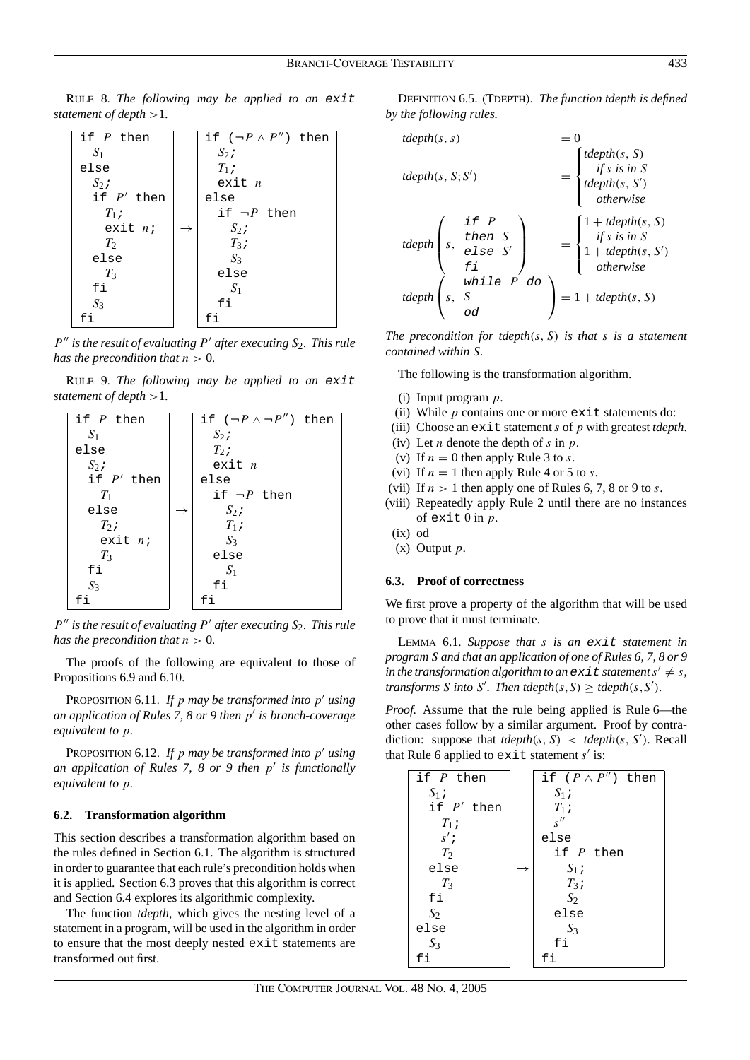Rule 8. *The following may be applied to an* exit *statement of depth >*1*.*

| if $P$ then    | if $(\neg P \wedge P'')$ then |
|----------------|-------------------------------|
| S <sub>1</sub> | $S_2$ ;                       |
| else           | $T_1;$                        |
| $S_2$ ;        | exist n                       |
| if $P'$ then   | else                          |
| $T_1$ ;        | if $\neg P$ then              |
| exist ni       | $S_2$ ;                       |
| $T_2$          | $T_3$ ;                       |
| else           | $S_3$                         |
| $T_3$          | else                          |
| fi             | S <sub>1</sub>                |
| $S_3$          | fi                            |
| fi             | fi                            |

*P*<sup>*n*</sup> is the result of evaluating *P*<sup>*'*</sup> after executing *S*<sub>2</sub>. This rule *has the precondition that*  $n > 0$ *.* 

Rule 9. *The following may be applied to an* exit *statement of depth >*1*.*

| if $P$ then  | if $(\neg P \land \neg P'')$ then |
|--------------|-----------------------------------|
| $S_1$        | $S_2$ ;                           |
| else         | $T_2$ ;                           |
| $S_2$ ;      | exist n                           |
| if $P'$ then | else                              |
| $T_1$        | if $\neg P$ then                  |
| else         | $S_2$ ;                           |
| $T_2$ ;      | $T_1;$                            |
| exist ni     | $S_3$                             |
| $T_3$        | else                              |
| fi           | $S_1$                             |
| $S_3$        | fi                                |
| fi           | fi                                |

*P*<sup>*n*</sup> is the result of evaluating *P*<sup>*'*</sup> after executing *S*<sub>2</sub>. This rule *has the precondition that*  $n > 0$ *.* 

The proofs of the following are equivalent to those of Propositions 6.9 and 6.10.

PROPOSITION 6.11. If *p* may be transformed into *p'* using *an application of Rules 7, 8 or 9 then p*- *is branch-coverage equivalent to p.*

PROPOSITION 6.12. If  $p$  may be transformed into  $p'$  using an application of Rules 7, 8 or 9 then  $p'$  is functionally *equivalent to p.*

## **6.2. Transformation algorithm**

This section describes a transformation algorithm based on the rules defined in Section 6.1. The algorithm is structured in order to guarantee that each rule's precondition holds when it is applied. Section 6.3 proves that this algorithm is correct and Section 6.4 explores its algorithmic complexity.

The function *tdepth*, which gives the nesting level of a statement in a program, will be used in the algorithm in order to ensure that the most deeply nested exit statements are transformed out first.

DEFINITION 6.5. (TDEPTH). *The function tdepth is defined by the following rules.*

| $tdepth(s, s)$     | = 0                                                                                                                                             |
|--------------------|-------------------------------------------------------------------------------------------------------------------------------------------------|
| $tdepth(s, S; S')$ | = $\begin{cases}\n t\text{depth}(s, S) \\  \text{if } s \text{ is in } S \\  \text{tdepth}(s, S') \\  \text{otherwise}\n\end{cases}$ \n         |
| $tdepth(s, S')$    | otherwise                                                                                                                                       |
| $tdepth(s, S)$     | = $\begin{cases}\n 1 + t\text{depth}(s, S) \\  \text{if } s \text{ is in } S \\  1 + t\text{depth}(s, S') \\  \text{otherwise}\n\end{cases}$ \n |
| $tdepth(s, S)$     | = $1 + t\text{depth}(s, S)$                                                                                                                     |
| $tdepth(s, S)$     | = $1 + t\text{depth}(s, S)$                                                                                                                     |

*The precondition for tdepth(s, S) is that s is a statement contained within S.*

The following is the transformation algorithm.

- (i) Input program *p*.
- (ii) While  $p$  contains one or more exit statements do:
- (iii) Choose an exit statement *s* of *p* with greatest *tdepth*.
- (iv) Let *n* denote the depth of *s* in *p*.
- (v) If  $n = 0$  then apply Rule 3 to *s*.
- (vi) If  $n = 1$  then apply Rule 4 or 5 to *s*.
- (vii) If  $n > 1$  then apply one of Rules 6, 7, 8 or 9 to *s*.
- (viii) Repeatedly apply Rule 2 until there are no instances of exit 0 in *p*.
	- (ix) od
	- (x) Output *p*.

## **6.3. Proof of correctness**

We first prove a property of the algorithm that will be used to prove that it must terminate.

Lemma 6.1. *Suppose that s is an* exit *statement in program S and that an application of one of Rules 6, 7, 8 or 9* in the transformation algorithm to an  $ext{exit}$  *statement*  $s' \neq s$ *, transforms S into S'*. *Then tdepth*(*s*,*S*)  $\geq$  *tdepth*(*s*,*S'*).

*Proof.* Assume that the rule being applied is Rule 6—the other cases follow by a similar argument. Proof by contradiction: suppose that  $tdepth(s, S) < tdepth(s, S')$ . Recall that Rule 6 applied to  $ext{exit}$  statement  $s'$  is:

| if $P$ then    | if $(P \wedge P'')$ then |
|----------------|--------------------------|
| $S_1$ ;        | $S_1$ ;                  |
| if $P'$ then   | $T_1$ ;                  |
| $T_1$ ;        | s''                      |
| $s'$ ;         | else                     |
| $T_2$          | if $P$ then              |
| else           | $S_1$ ;                  |
| $T_3$          | $T_3$ ;                  |
| fi             | $S_2$                    |
| S <sub>2</sub> | else                     |
| else           | $S_3$                    |
| $S_3$          | fi                       |
| fi             | fi                       |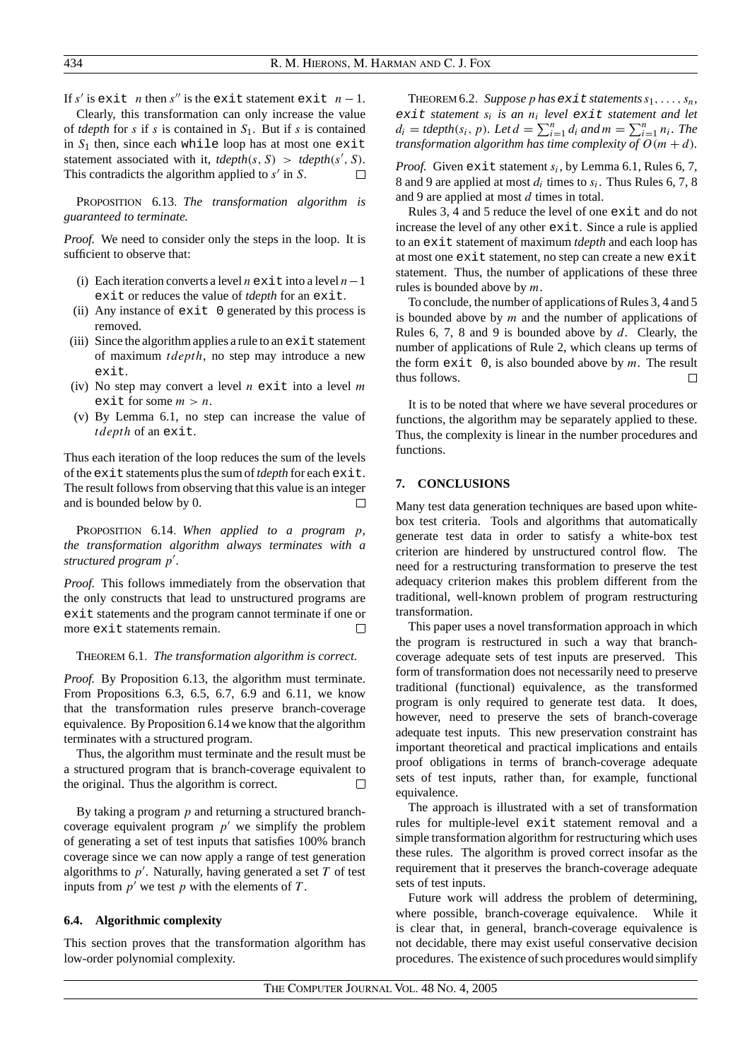If *s*' is exit *n* then *s*" is the exit statement exit  $n-1$ .

Clearly, this transformation can only increase the value of *tdepth* for *s* if *s* is contained in *S*1. But if *s* is contained in  $S_1$  then, since each while loop has at most one exit statement associated with it,  $tdepth(s, S) > tdepth(s', S)$ .  $\Box$ This contradicts the algorithm applied to *s'* in *S*.

Proposition 6.13. *The transformation algorithm is guaranteed to terminate.*

*Proof.* We need to consider only the steps in the loop. It is sufficient to observe that:

- (i) Each iteration converts a level  $n \in \mathbb{Z}$  into a level  $n-1$ exit or reduces the value of *tdepth* for an exit.
- (ii) Any instance of exit 0 generated by this process is removed.
- (iii) Since the algorithm applies a rule to an exit statement of maximum *tdepth*, no step may introduce a new exit.
- (iv) No step may convert a level *n* exit into a level *m* exit for some  $m > n$ .
- (v) By Lemma 6.1, no step can increase the value of *tdepth* of an exit.

Thus each iteration of the loop reduces the sum of the levels of the exit statements plus the sum of*tdepth* for each exit. The result follows from observing that this value is an integer and is bounded below by 0.  $\Box$ 

Proposition 6.14. *When applied to a program p, the transformation algorithm always terminates with a* structured program p'.

*Proof.* This follows immediately from the observation that the only constructs that lead to unstructured programs are exit statements and the program cannot terminate if one or more exit statements remain.  $\Box$ 

#### Theorem 6.1. *The transformation algorithm is correct.*

*Proof.* By Proposition 6.13, the algorithm must terminate. From Propositions 6.3, 6.5, 6.7, 6.9 and 6.11, we know that the transformation rules preserve branch-coverage equivalence. By Proposition 6.14 we know that the algorithm terminates with a structured program.

Thus, the algorithm must terminate and the result must be a structured program that is branch-coverage equivalent to the original. Thus the algorithm is correct.  $\Box$ 

By taking a program *p* and returning a structured branchcoverage equivalent program  $p'$  we simplify the problem of generating a set of test inputs that satisfies 100% branch coverage since we can now apply a range of test generation algorithms to  $p'$ . Naturally, having generated a set  $T$  of test inputs from  $p'$  we test  $p$  with the elements of  $T$ .

#### **6.4. Algorithmic complexity**

This section proves that the transformation algorithm has low-order polynomial complexity.

THEOREM 6.2. *Suppose p* has exit *statements*  $s_1, \ldots, s_n$ *,* exit *statement si is an ni level* exit *statement and let*  $d_i = tdepth(s_i, p)$ *. Let*  $d = \sum_{i=1}^n d_i$  and  $m = \sum_{i=1}^n n_i$ *. The transformation algorithm has time complexity of*  $O(m + d)$ *.* 

*Proof.* Given exit statement *si*, by Lemma 6.1, Rules 6, 7, 8 and 9 are applied at most *di* times to *si*. Thus Rules 6, 7, 8 and 9 are applied at most *d* times in total.

Rules 3, 4 and 5 reduce the level of one exit and do not increase the level of any other exit. Since a rule is applied to an exit statement of maximum *tdepth* and each loop has at most one exit statement, no step can create a new exit statement. Thus, the number of applications of these three rules is bounded above by *m*.

To conclude, the number of applications of Rules 3, 4 and 5 is bounded above by *m* and the number of applications of Rules 6, 7, 8 and 9 is bounded above by *d*. Clearly, the number of applications of Rule 2, which cleans up terms of the form exit 0, is also bounded above by *m*. The result thus follows.  $\Box$ 

It is to be noted that where we have several procedures or functions, the algorithm may be separately applied to these. Thus, the complexity is linear in the number procedures and functions.

# **7. CONCLUSIONS**

Many test data generation techniques are based upon whitebox test criteria. Tools and algorithms that automatically generate test data in order to satisfy a white-box test criterion are hindered by unstructured control flow. The need for a restructuring transformation to preserve the test adequacy criterion makes this problem different from the traditional, well-known problem of program restructuring transformation.

This paper uses a novel transformation approach in which the program is restructured in such a way that branchcoverage adequate sets of test inputs are preserved. This form of transformation does not necessarily need to preserve traditional (functional) equivalence, as the transformed program is only required to generate test data. It does, however, need to preserve the sets of branch-coverage adequate test inputs. This new preservation constraint has important theoretical and practical implications and entails proof obligations in terms of branch-coverage adequate sets of test inputs, rather than, for example, functional equivalence.

The approach is illustrated with a set of transformation rules for multiple-level exit statement removal and a simple transformation algorithm for restructuring which uses these rules. The algorithm is proved correct insofar as the requirement that it preserves the branch-coverage adequate sets of test inputs.

Future work will address the problem of determining, where possible, branch-coverage equivalence. While it is clear that, in general, branch-coverage equivalence is not decidable, there may exist useful conservative decision procedures. The existence of such procedures would simplify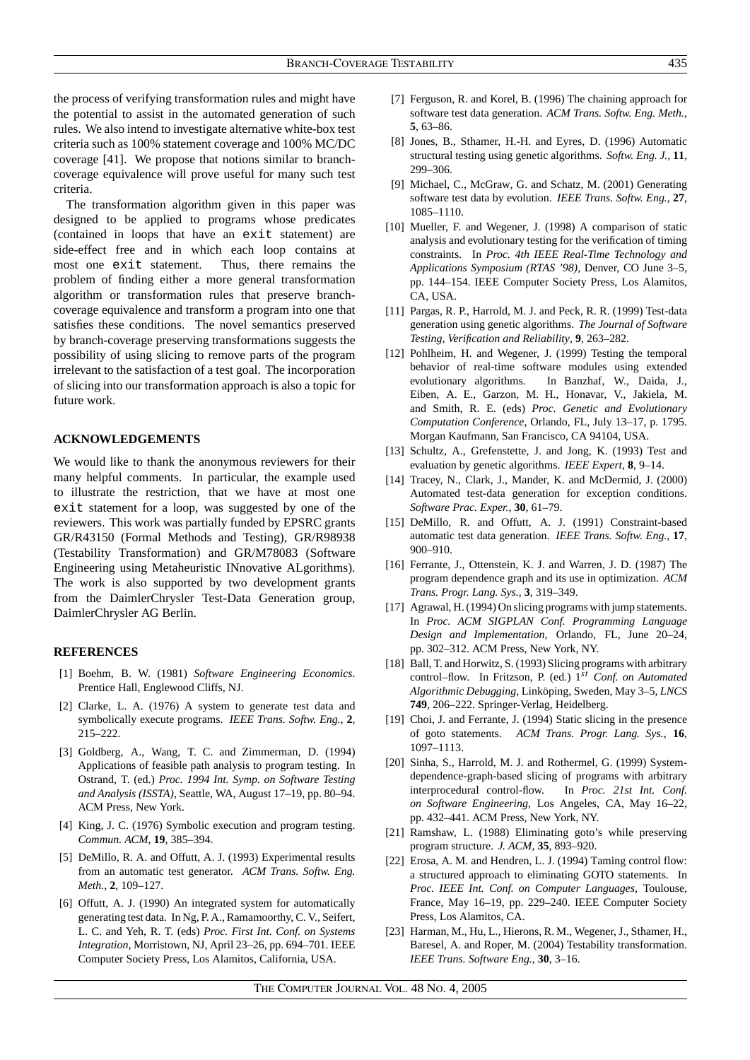the process of verifying transformation rules and might have the potential to assist in the automated generation of such rules. We also intend to investigate alternative white-box test criteria such as 100% statement coverage and 100% MC/DC coverage [41]. We propose that notions similar to branchcoverage equivalence will prove useful for many such test criteria.

The transformation algorithm given in this paper was designed to be applied to programs whose predicates (contained in loops that have an exit statement) are side-effect free and in which each loop contains at most one exit statement. Thus, there remains the problem of finding either a more general transformation algorithm or transformation rules that preserve branchcoverage equivalence and transform a program into one that satisfies these conditions. The novel semantics preserved by branch-coverage preserving transformations suggests the possibility of using slicing to remove parts of the program irrelevant to the satisfaction of a test goal. The incorporation of slicing into our transformation approach is also a topic for future work.

# **ACKNOWLEDGEMENTS**

We would like to thank the anonymous reviewers for their many helpful comments. In particular, the example used to illustrate the restriction, that we have at most one exit statement for a loop, was suggested by one of the reviewers. This work was partially funded by EPSRC grants GR/R43150 (Formal Methods and Testing), GR/R98938 (Testability Transformation) and GR/M78083 (Software Engineering using Metaheuristic INnovative ALgorithms). The work is also supported by two development grants from the DaimlerChrysler Test-Data Generation group, DaimlerChrysler AG Berlin.

## **REFERENCES**

- [1] Boehm, B. W. (1981) *Software Engineering Economics*. Prentice Hall, Englewood Cliffs, NJ.
- [2] Clarke, L. A. (1976) A system to generate test data and symbolically execute programs. *IEEE Trans. Softw. Eng.*, **2**, 215–222.
- [3] Goldberg, A., Wang, T. C. and Zimmerman, D. (1994) Applications of feasible path analysis to program testing. In Ostrand, T. (ed.) *Proc. 1994 Int. Symp. on Software Testing and Analysis (ISSTA)*, Seattle, WA, August 17–19, pp. 80–94. ACM Press, New York.
- [4] King, J. C. (1976) Symbolic execution and program testing. *Commun. ACM*, **19**, 385–394.
- [5] DeMillo, R. A. and Offutt, A. J. (1993) Experimental results from an automatic test generator. *ACM Trans. Softw. Eng. Meth.*, **2**, 109–127.
- [6] Offutt, A. J. (1990) An integrated system for automatically generating test data. In Ng, P. A., Ramamoorthy, C. V., Seifert, L. C. and Yeh, R. T. (eds) *Proc. First Int. Conf. on Systems Integration*, Morristown, NJ, April 23–26, pp. 694–701. IEEE Computer Society Press, Los Alamitos, California, USA.
- [7] Ferguson, R. and Korel, B. (1996) The chaining approach for software test data generation. *ACM Trans. Softw. Eng. Meth.*, **5**, 63–86.
- [8] Jones, B., Sthamer, H.-H. and Eyres, D. (1996) Automatic structural testing using genetic algorithms. *Softw. Eng. J.*, **11**, 299–306.
- [9] Michael, C., McGraw, G. and Schatz, M. (2001) Generating software test data by evolution. *IEEE Trans. Softw. Eng.*, **27**, 1085–1110.
- [10] Mueller, F. and Wegener, J. (1998) A comparison of static analysis and evolutionary testing for the verification of timing constraints. In *Proc. 4th IEEE Real-Time Technology and Applications Symposium (RTAS '98)*, Denver, CO June 3–5, pp. 144–154. IEEE Computer Society Press, Los Alamitos, CA, USA.
- [11] Pargas, R. P., Harrold, M. J. and Peck, R. R. (1999) Test-data generation using genetic algorithms. *The Journal of Software Testing, Verification and Reliability*, **9**, 263–282.
- [12] Pohlheim, H. and Wegener, J. (1999) Testing the temporal behavior of real-time software modules using extended evolutionary algorithms. In Banzhaf, W., Daida, J., Eiben, A. E., Garzon, M. H., Honavar, V., Jakiela, M. and Smith, R. E. (eds) *Proc. Genetic and Evolutionary Computation Conference*, Orlando, FL, July 13–17, p. 1795. Morgan Kaufmann, San Francisco, CA 94104, USA.
- [13] Schultz, A., Grefenstette, J. and Jong, K. (1993) Test and evaluation by genetic algorithms. *IEEE Expert*, **8**, 9–14.
- [14] Tracey, N., Clark, J., Mander, K. and McDermid, J. (2000) Automated test-data generation for exception conditions. *Software Prac. Exper.*, **30**, 61–79.
- [15] DeMillo, R. and Offutt, A. J. (1991) Constraint-based automatic test data generation. *IEEE Trans. Softw. Eng.*, **17**, 900–910.
- [16] Ferrante, J., Ottenstein, K. J. and Warren, J. D. (1987) The program dependence graph and its use in optimization. *ACM Trans. Progr. Lang. Sys.*, **3**, 319–349.
- [17] Agrawal, H. (1994) On slicing programs with jump statements. In *Proc. ACM SIGPLAN Conf. Programming Language Design and Implementation*, Orlando, FL, June 20–24, pp. 302–312. ACM Press, New York, NY.
- [18] Ball, T. and Horwitz, S. (1993) Slicing programs with arbitrary control–flow. In Fritzson, P. (ed.) 1*st Conf. on Automated Algorithmic Debugging*, Linköping, Sweden, May 3–5, *LNCS* **749**, 206–222. Springer-Verlag, Heidelberg.
- [19] Choi, J. and Ferrante, J. (1994) Static slicing in the presence of goto statements. *ACM Trans. Progr. Lang. Sys.*, **16**, 1097–1113.
- [20] Sinha, S., Harrold, M. J. and Rothermel, G. (1999) Systemdependence-graph-based slicing of programs with arbitrary interprocedural control-flow. In *Proc. 21st Int. Conf. on Software Engineering*, Los Angeles, CA, May 16–22, pp. 432–441. ACM Press, New York, NY.
- [21] Ramshaw, L. (1988) Eliminating goto's while preserving program structure. *J. ACM*, **35**, 893–920.
- [22] Erosa, A. M. and Hendren, L. J. (1994) Taming control flow: a structured approach to eliminating GOTO statements. In *Proc. IEEE Int. Conf. on Computer Languages*, Toulouse, France, May 16–19, pp. 229–240. IEEE Computer Society Press, Los Alamitos, CA.
- [23] Harman, M., Hu, L., Hierons, R. M., Wegener, J., Sthamer, H., Baresel, A. and Roper, M. (2004) Testability transformation. *IEEE Trans. Software Eng.*, **30**, 3–16.